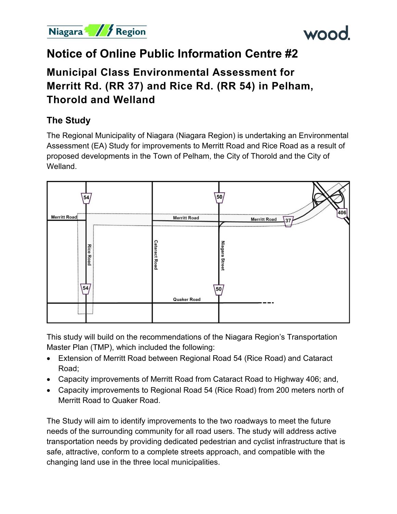



# **Notice of Online Public Information Centre #2**

# **Municipal Class Environmental Assessment for Merritt Rd. (RR 37) and Rice Rd. (RR 54) in Pelham, Thorold and Welland**

## **The Study**

The Regional Municipality of Niagara (Niagara Region) is undertaking an Environmental Assessment (EA) Study for improvements to Merritt Road and Rice Road as a result of proposed developments in the Town of Pelham, the City of Thorold and the City of Welland.



This study will build on the recommendations of the Niagara Region's Transportation Master Plan (TMP), which included the following:

- Extension of Merritt Road between Regional Road 54 (Rice Road) and Cataract Road;
- Capacity improvements of Merritt Road from Cataract Road to Highway 406; and,
- Capacity improvements to Regional Road 54 (Rice Road) from 200 meters north of Merritt Road to Quaker Road.

The Study will aim to identify improvements to the two roadways to meet the future needs of the surrounding community for all road users. The study will address active transportation needs by providing dedicated pedestrian and cyclist infrastructure that is safe, attractive, conform to a complete streets approach, and compatible with the changing land use in the three local municipalities.